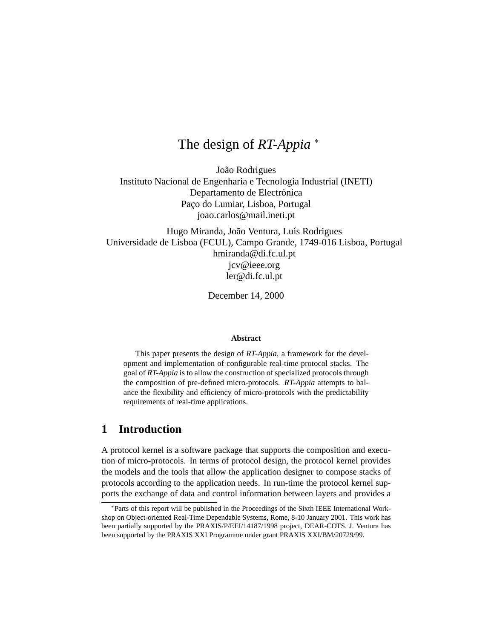# The design of *RT-Appia* <sup>∗</sup>

João Rodrigues Instituto Nacional de Engenharia e Tecnologia Industrial (INETI) Departamento de Electrónica Paço do Lumiar, Lisboa, Portugal joao.carlos@mail.ineti.pt

Hugo Miranda, João Ventura, Luís Rodrigues Universidade de Lisboa (FCUL), Campo Grande, 1749-016 Lisboa, Portugal hmiranda@di.fc.ul.pt jcv@ieee.org ler@di.fc.ul.pt

December 14, 2000

#### **Abstract**

This paper presents the design of *RT-Appia*, a framework for the development and implementation of configurable real-time protocol stacks. The goal of *RT-Appia* is to allow the construction of specialized protocols through the composition of pre-defined micro-protocols. *RT-Appia* attempts to balance the flexibility and efficiency of micro-protocols with the predictability requirements of real-time applications.

### **1 Introduction**

A protocol kernel is a software package that supports the composition and execution of micro-protocols. In terms of protocol design, the protocol kernel provides the models and the tools that allow the application designer to compose stacks of protocols according to the application needs. In run-time the protocol kernel supports the exchange of data and control information between layers and provides a

<sup>∗</sup> Parts of this report will be published in the Proceedings of the Sixth IEEE International Workshop on Object-oriented Real-Time Dependable Systems, Rome, 8-10 January 2001. This work has been partially supported by the PRAXIS/P/EEI/14187/1998 project, DEAR-COTS. J. Ventura has been supported by the PRAXIS XXI Programme under grant PRAXIS XXI/BM/20729/99.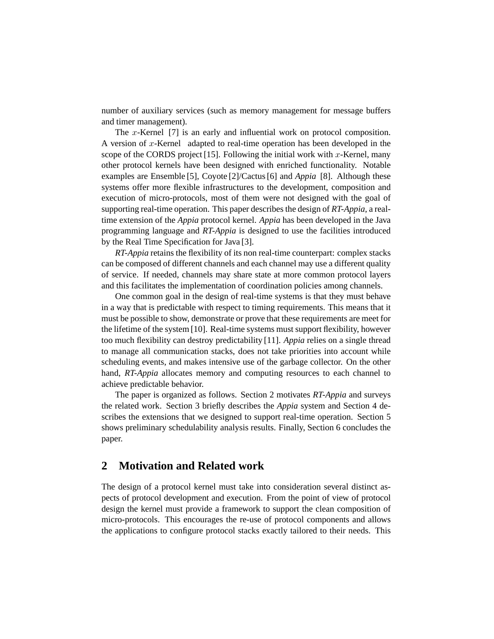number of auxiliary services (such as memory management for message buffers and timer management).

The x-Kernel [7] is an early and influential work on protocol composition. A version of  $x$ -Kernel adapted to real-time operation has been developed in the scope of the CORDS project [15]. Following the initial work with  $x$ -Kernel, many other protocol kernels have been designed with enriched functionality. Notable examples are Ensemble [5], Coyote [2]/Cactus [6] and *Appia* [8]. Although these systems offer more flexible infrastructures to the development, composition and execution of micro-protocols, most of them were not designed with the goal of supporting real-time operation. This paper describes the design of *RT-Appia*, a realtime extension of the *Appia* protocol kernel. *Appia* has been developed in the Java programming language and *RT-Appia* is designed to use the facilities introduced by the Real Time Specification for Java [3].

*RT-Appia* retains the flexibility of its non real-time counterpart: complex stacks can be composed of different channels and each channel may use a different quality of service. If needed, channels may share state at more common protocol layers and this facilitates the implementation of coordination policies among channels.

One common goal in the design of real-time systems is that they must behave in a way that is predictable with respect to timing requirements. This means that it must be possible to show, demonstrate or prove that these requirements are meet for the lifetime of the system [10]. Real-time systems must support flexibility, however too much flexibility can destroy predictability [11]. *Appia* relies on a single thread to manage all communication stacks, does not take priorities into account while scheduling events, and makes intensive use of the garbage collector. On the other hand, *RT-Appia* allocates memory and computing resources to each channel to achieve predictable behavior.

The paper is organized as follows. Section 2 motivates *RT-Appia* and surveys the related work. Section 3 briefly describes the *Appia* system and Section 4 describes the extensions that we designed to support real-time operation. Section 5 shows preliminary schedulability analysis results. Finally, Section 6 concludes the paper.

# **2 Motivation and Related work**

The design of a protocol kernel must take into consideration several distinct aspects of protocol development and execution. From the point of view of protocol design the kernel must provide a framework to support the clean composition of micro-protocols. This encourages the re-use of protocol components and allows the applications to configure protocol stacks exactly tailored to their needs. This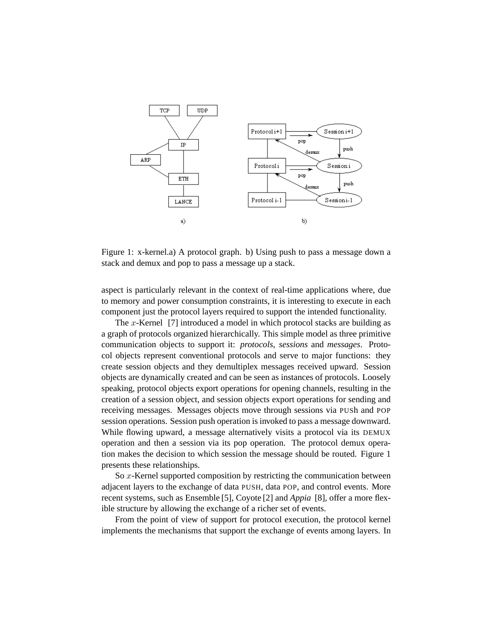

Figure 1: x-kernel.a) A protocol graph. b) Using push to pass a message down a stack and demux and pop to pass a message up a stack.

aspect is particularly relevant in the context of real-time applications where, due to memory and power consumption constraints, it is interesting to execute in each component just the protocol layers required to support the intended functionality.

The x-Kernel [7] introduced a model in which protocol stacks are building as a graph of protocols organized hierarchically. This simple model as three primitive communication objects to support it: *protocols*, *sessions* and *messages*. Protocol objects represent conventional protocols and serve to major functions: they create session objects and they demultiplex messages received upward. Session objects are dynamically created and can be seen as instances of protocols. Loosely speaking, protocol objects export operations for opening channels, resulting in the creation of a session object, and session objects export operations for sending and receiving messages. Messages objects move through sessions via PUSh and POP session operations. Session push operation is invoked to pass a message downward. While flowing upward, a message alternatively visits a protocol via its DEMUX operation and then a session via its pop operation. The protocol demux operation makes the decision to which session the message should be routed. Figure 1 presents these relationships.

So x-Kernel supported composition by restricting the communication between adjacent layers to the exchange of data PUSH, data POP, and control events. More recent systems, such as Ensemble [5], Coyote [2] and *Appia* [8], offer a more flexible structure by allowing the exchange of a richer set of events.

From the point of view of support for protocol execution, the protocol kernel implements the mechanisms that support the exchange of events among layers. In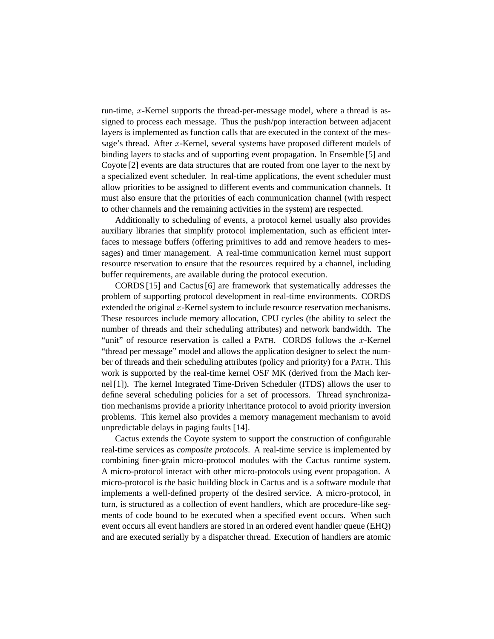run-time, x-Kernel supports the thread-per-message model, where a thread is assigned to process each message. Thus the push/pop interaction between adjacent layers is implemented as function calls that are executed in the context of the message's thread. After x-Kernel, several systems have proposed different models of binding layers to stacks and of supporting event propagation. In Ensemble [5] and Coyote [2] events are data structures that are routed from one layer to the next by a specialized event scheduler. In real-time applications, the event scheduler must allow priorities to be assigned to different events and communication channels. It must also ensure that the priorities of each communication channel (with respect to other channels and the remaining activities in the system) are respected.

Additionally to scheduling of events, a protocol kernel usually also provides auxiliary libraries that simplify protocol implementation, such as efficient interfaces to message buffers (offering primitives to add and remove headers to messages) and timer management. A real-time communication kernel must support resource reservation to ensure that the resources required by a channel, including buffer requirements, are available during the protocol execution.

CORDS [15] and Cactus [6] are framework that systematically addresses the problem of supporting protocol development in real-time environments. CORDS extended the original x-Kernel system to include resource reservation mechanisms. These resources include memory allocation, CPU cycles (the ability to select the number of threads and their scheduling attributes) and network bandwidth. The "unit" of resource reservation is called a PATH. CORDS follows the  $x$ -Kernel "thread per message" model and allows the application designer to select the number of threads and their scheduling attributes (policy and priority) for a PATH. This work is supported by the real-time kernel OSF MK (derived from the Mach kernel [1]). The kernel Integrated Time-Driven Scheduler (ITDS) allows the user to define several scheduling policies for a set of processors. Thread synchronization mechanisms provide a priority inheritance protocol to avoid priority inversion problems. This kernel also provides a memory management mechanism to avoid unpredictable delays in paging faults [14].

Cactus extends the Coyote system to support the construction of configurable real-time services as *composite protocols*. A real-time service is implemented by combining finer-grain micro-protocol modules with the Cactus runtime system. A micro-protocol interact with other micro-protocols using event propagation. A micro-protocol is the basic building block in Cactus and is a software module that implements a well-defined property of the desired service. A micro-protocol, in turn, is structured as a collection of event handlers, which are procedure-like segments of code bound to be executed when a specified event occurs. When such event occurs all event handlers are stored in an ordered event handler queue (EHQ) and are executed serially by a dispatcher thread. Execution of handlers are atomic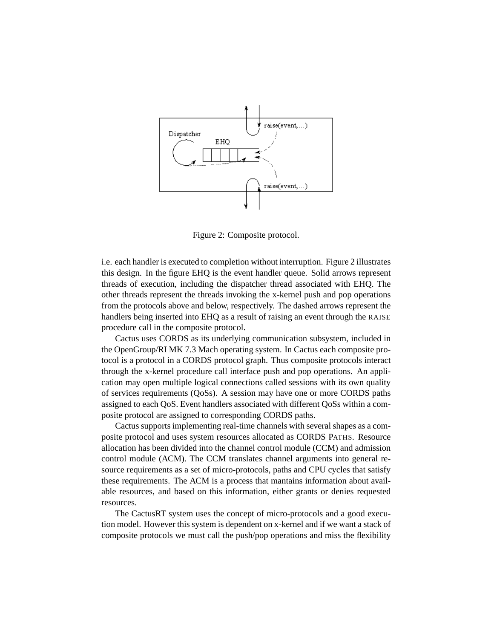

Figure 2: Composite protocol.

i.e. each handler is executed to completion without interruption. Figure 2 illustrates this design. In the figure EHQ is the event handler queue. Solid arrows represent threads of execution, including the dispatcher thread associated with EHQ. The other threads represent the threads invoking the x-kernel push and pop operations from the protocols above and below, respectively. The dashed arrows represent the handlers being inserted into EHQ as a result of raising an event through the RAISE procedure call in the composite protocol.

Cactus uses CORDS as its underlying communication subsystem, included in the OpenGroup/RI MK 7.3 Mach operating system. In Cactus each composite protocol is a protocol in a CORDS protocol graph. Thus composite protocols interact through the x-kernel procedure call interface push and pop operations. An application may open multiple logical connections called sessions with its own quality of services requirements (QoSs). A session may have one or more CORDS paths assigned to each QoS. Event handlers associated with different QoSs within a composite protocol are assigned to corresponding CORDS paths.

Cactus supports implementing real-time channels with several shapes as a composite protocol and uses system resources allocated as CORDS PATHS. Resource allocation has been divided into the channel control module (CCM) and admission control module (ACM). The CCM translates channel arguments into general resource requirements as a set of micro-protocols, paths and CPU cycles that satisfy these requirements. The ACM is a process that mantains information about available resources, and based on this information, either grants or denies requested resources.

The CactusRT system uses the concept of micro-protocols and a good execution model. However this system is dependent on x-kernel and if we want a stack of composite protocols we must call the push/pop operations and miss the flexibility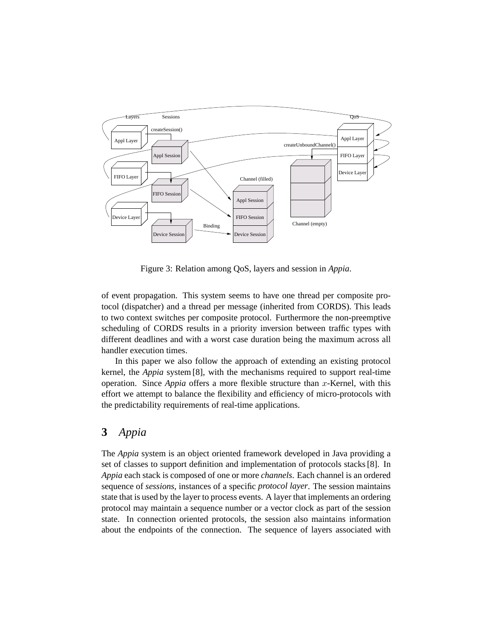

Figure 3: Relation among QoS, layers and session in *Appia*.

of event propagation. This system seems to have one thread per composite protocol (dispatcher) and a thread per message (inherited from CORDS). This leads to two context switches per composite protocol. Furthermore the non-preemptive scheduling of CORDS results in a priority inversion between traffic types with different deadlines and with a worst case duration being the maximum across all handler execution times.

In this paper we also follow the approach of extending an existing protocol kernel, the *Appia* system [8], with the mechanisms required to support real-time operation. Since *Appia* offers a more flexible structure than  $x$ -Kernel, with this effort we attempt to balance the flexibility and efficiency of micro-protocols with the predictability requirements of real-time applications.

# **3** *Appia*

The *Appia* system is an object oriented framework developed in Java providing a set of classes to support definition and implementation of protocols stacks [8]. In *Appia* each stack is composed of one or more *channels*. Each channel is an ordered sequence of *sessions*, instances of a specific *protocol layer*. The session maintains state that is used by the layer to process events. A layer that implements an ordering protocol may maintain a sequence number or a vector clock as part of the session state. In connection oriented protocols, the session also maintains information about the endpoints of the connection. The sequence of layers associated with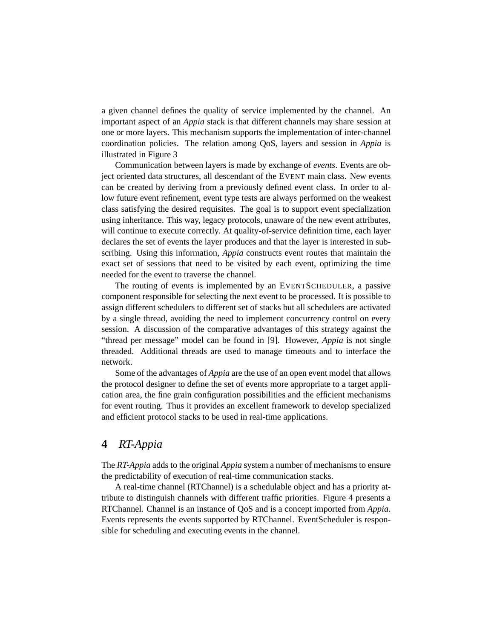a given channel defines the quality of service implemented by the channel. An important aspect of an *Appia* stack is that different channels may share session at one or more layers. This mechanism supports the implementation of inter-channel coordination policies. The relation among QoS, layers and session in *Appia* is illustrated in Figure 3

Communication between layers is made by exchange of *events*. Events are object oriented data structures, all descendant of the EVENT main class. New events can be created by deriving from a previously defined event class. In order to allow future event refinement, event type tests are always performed on the weakest class satisfying the desired requisites. The goal is to support event specialization using inheritance. This way, legacy protocols, unaware of the new event attributes, will continue to execute correctly. At quality-of-service definition time, each layer declares the set of events the layer produces and that the layer is interested in subscribing. Using this information, *Appia* constructs event routes that maintain the exact set of sessions that need to be visited by each event, optimizing the time needed for the event to traverse the channel.

The routing of events is implemented by an EVENTSCHEDULER, a passive component responsible for selecting the next event to be processed. It is possible to assign different schedulers to different set of stacks but all schedulers are activated by a single thread, avoiding the need to implement concurrency control on every session. A discussion of the comparative advantages of this strategy against the "thread per message" model can be found in [9]. However, *Appia* is not single threaded. Additional threads are used to manage timeouts and to interface the network.

Some of the advantages of *Appia* are the use of an open event model that allows the protocol designer to define the set of events more appropriate to a target application area, the fine grain configuration possibilities and the efficient mechanisms for event routing. Thus it provides an excellent framework to develop specialized and efficient protocol stacks to be used in real-time applications.

## **4** *RT-Appia*

The *RT-Appia* adds to the original *Appia* system a number of mechanisms to ensure the predictability of execution of real-time communication stacks.

A real-time channel (RTChannel) is a schedulable object and has a priority attribute to distinguish channels with different traffic priorities. Figure 4 presents a RTChannel. Channel is an instance of QoS and is a concept imported from *Appia*. Events represents the events supported by RTChannel. EventScheduler is responsible for scheduling and executing events in the channel.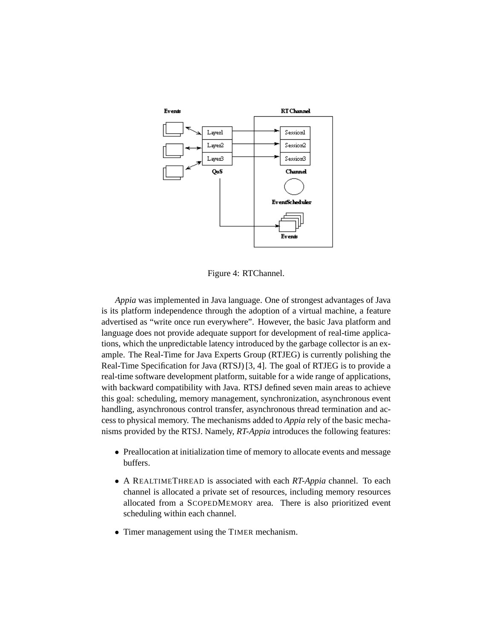

Figure 4: RTChannel.

*Appia* was implemented in Java language. One of strongest advantages of Java is its platform independence through the adoption of a virtual machine, a feature advertised as "write once run everywhere". However, the basic Java platform and language does not provide adequate support for development of real-time applications, which the unpredictable latency introduced by the garbage collector is an example. The Real-Time for Java Experts Group (RTJEG) is currently polishing the Real-Time Specification for Java (RTSJ) [3, 4]. The goal of RTJEG is to provide a real-time software development platform, suitable for a wide range of applications, with backward compatibility with Java. RTSJ defined seven main areas to achieve this goal: scheduling, memory management, synchronization, asynchronous event handling, asynchronous control transfer, asynchronous thread termination and access to physical memory. The mechanisms added to *Appia* rely of the basic mechanisms provided by the RTSJ. Namely, *RT-Appia* introduces the following features:

- Preallocation at initialization time of memory to allocate events and message buffers.
- A REALTIMETHREAD is associated with each *RT-Appia* channel. To each channel is allocated a private set of resources, including memory resources allocated from a SCOPEDMEMORY area. There is also prioritized event scheduling within each channel.
- Timer management using the TIMER mechanism.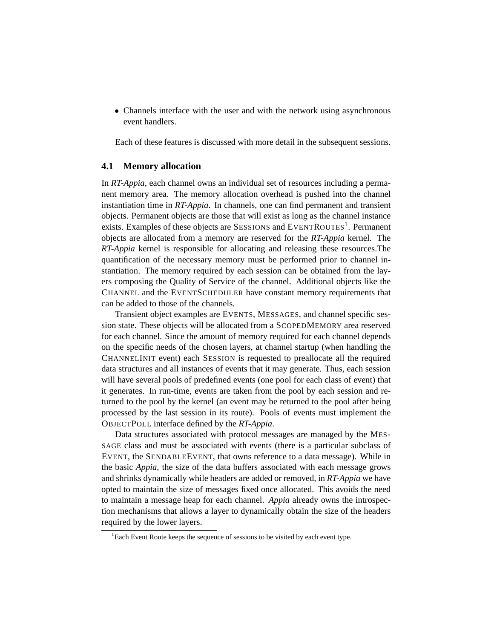• Channels interface with the user and with the network using asynchronous event handlers.

Each of these features is discussed with more detail in the subsequent sessions.

#### **4.1 Memory allocation**

In *RT-Appia*, each channel owns an individual set of resources including a permanent memory area. The memory allocation overhead is pushed into the channel instantiation time in *RT-Appia*. In channels, one can find permanent and transient objects. Permanent objects are those that will exist as long as the channel instance exists. Examples of these objects are SESSIONS and EVENTROUTES<sup>1</sup>. Permanent objects are allocated from a memory are reserved for the *RT-Appia* kernel. The *RT-Appia* kernel is responsible for allocating and releasing these resources.The quantification of the necessary memory must be performed prior to channel instantiation. The memory required by each session can be obtained from the layers composing the Quality of Service of the channel. Additional objects like the CHANNEL and the EVENTSCHEDULER have constant memory requirements that can be added to those of the channels.

Transient object examples are EVENTS, MESSAGES, and channel specific session state. These objects will be allocated from a SCOPEDMEMORY area reserved for each channel. Since the amount of memory required for each channel depends on the specific needs of the chosen layers, at channel startup (when handling the CHANNELINIT event) each SESSION is requested to preallocate all the required data structures and all instances of events that it may generate. Thus, each session will have several pools of predefined events (one pool for each class of event) that it generates. In run-time, events are taken from the pool by each session and returned to the pool by the kernel (an event may be returned to the pool after being processed by the last session in its route). Pools of events must implement the OBJECTPOLL interface defined by the *RT-Appia*.

Data structures associated with protocol messages are managed by the MES-SAGE class and must be associated with events (there is a particular subclass of EVENT, the SENDABLEEVENT, that owns reference to a data message). While in the basic *Appia*, the size of the data buffers associated with each message grows and shrinks dynamically while headers are added or removed, in *RT-Appia* we have opted to maintain the size of messages fixed once allocated. This avoids the need to maintain a message heap for each channel. *Appia* already owns the introspection mechanisms that allows a layer to dynamically obtain the size of the headers required by the lower layers.

 ${}^{1}$ Each Event Route keeps the sequence of sessions to be visited by each event type.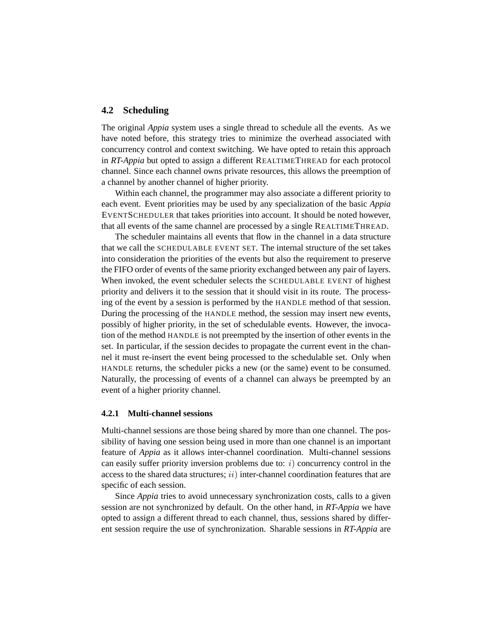#### **4.2 Scheduling**

The original *Appia* system uses a single thread to schedule all the events. As we have noted before, this strategy tries to minimize the overhead associated with concurrency control and context switching. We have opted to retain this approach in *RT-Appia* but opted to assign a different REALTIMETHREAD for each protocol channel. Since each channel owns private resources, this allows the preemption of a channel by another channel of higher priority.

Within each channel, the programmer may also associate a different priority to each event. Event priorities may be used by any specialization of the basic *Appia* EVENTSCHEDULER that takes priorities into account. It should be noted however, that all events of the same channel are processed by a single REALTIMETHREAD.

The scheduler maintains all events that flow in the channel in a data structure that we call the SCHEDULABLE EVENT SET. The internal structure of the set takes into consideration the priorities of the events but also the requirement to preserve the FIFO order of events of the same priority exchanged between any pair of layers. When invoked, the event scheduler selects the SCHEDULABLE EVENT of highest priority and delivers it to the session that it should visit in its route. The processing of the event by a session is performed by the HANDLE method of that session. During the processing of the HANDLE method, the session may insert new events, possibly of higher priority, in the set of schedulable events. However, the invocation of the method HANDLE is not preempted by the insertion of other events in the set. In particular, if the session decides to propagate the current event in the channel it must re-insert the event being processed to the schedulable set. Only when HANDLE returns, the scheduler picks a new (or the same) event to be consumed. Naturally, the processing of events of a channel can always be preempted by an event of a higher priority channel.

#### **4.2.1 Multi-channel sessions**

Multi-channel sessions are those being shared by more than one channel. The possibility of having one session being used in more than one channel is an important feature of *Appia* as it allows inter-channel coordination. Multi-channel sessions can easily suffer priority inversion problems due to:  $i)$  concurrency control in the access to the shared data structures;  $ii)$  inter-channel coordination features that are specific of each session.

Since *Appia* tries to avoid unnecessary synchronization costs, calls to a given session are not synchronized by default. On the other hand, in *RT-Appia* we have opted to assign a different thread to each channel, thus, sessions shared by different session require the use of synchronization. Sharable sessions in *RT-Appia* are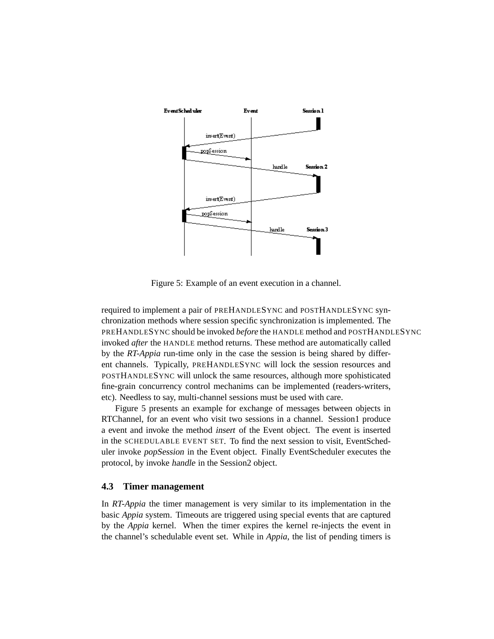

Figure 5: Example of an event execution in a channel.

required to implement a pair of PREHANDLESYNC and POSTHANDLESYNC synchronization methods where session specific synchronization is implemented. The PREHANDLESYNC should be invoked *before* the HANDLE method and POSTHANDLESYNC invoked *after* the HANDLE method returns. These method are automatically called by the *RT-Appia* run-time only in the case the session is being shared by different channels. Typically, PREHANDLESYNC will lock the session resources and POSTHANDLESYNC will unlock the same resources, although more spohisticated fine-grain concurrency control mechanims can be implemented (readers-writers, etc). Needless to say, multi-channel sessions must be used with care.

Figure 5 presents an example for exchange of messages between objects in RTChannel, for an event who visit two sessions in a channel. Session1 produce a event and invoke the method insert of the Event object. The event is inserted in the SCHEDULABLE EVENT SET. To find the next session to visit, EventScheduler invoke popSession in the Event object. Finally EventScheduler executes the protocol, by invoke handle in the Session2 object.

#### **4.3 Timer management**

In *RT-Appia* the timer management is very similar to its implementation in the basic *Appia* system. Timeouts are triggered using special events that are captured by the *Appia* kernel. When the timer expires the kernel re-injects the event in the channel's schedulable event set. While in *Appia*, the list of pending timers is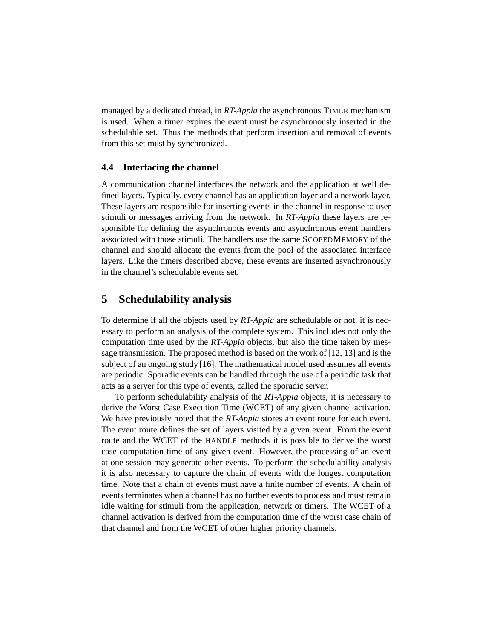managed by a dedicated thread, in *RT-Appia* the asynchronous TIMER mechanism is used. When a timer expires the event must be asynchronously inserted in the schedulable set. Thus the methods that perform insertion and removal of events from this set must by synchronized.

#### **4.4 Interfacing the channel**

A communication channel interfaces the network and the application at well defined layers. Typically, every channel has an application layer and a network layer. These layers are responsible for inserting events in the channel in response to user stimuli or messages arriving from the network. In *RT-Appia* these layers are responsible for defining the asynchronous events and asynchronous event handlers associated with those stimuli. The handlers use the same SCOPEDMEMORY of the channel and should allocate the events from the pool of the associated interface layers. Like the timers described above, these events are inserted asynchronously in the channel's schedulable events set.

# **5 Schedulability analysis**

To determine if all the objects used by *RT-Appia* are schedulable or not, it is necessary to perform an analysis of the complete system. This includes not only the computation time used by the *RT-Appia* objects, but also the time taken by message transmission. The proposed method is based on the work of [12, 13] and is the subject of an ongoing study [16]. The mathematical model used assumes all events are periodic. Sporadic events can be handled through the use of a periodic task that acts as a server for this type of events, called the sporadic server.

To perform schedulability analysis of the *RT-Appia* objects, it is necessary to derive the Worst Case Execution Time (WCET) of any given channel activation. We have previously noted that the *RT-Appia* stores an event route for each event. The event route defines the set of layers visited by a given event. From the event route and the WCET of the HANDLE methods it is possible to derive the worst case computation time of any given event. However, the processing of an event at one session may generate other events. To perform the schedulability analysis it is also necessary to capture the chain of events with the longest computation time. Note that a chain of events must have a finite number of events. A chain of events terminates when a channel has no further events to process and must remain idle waiting for stimuli from the application, network or timers. The WCET of a channel activation is derived from the computation time of the worst case chain of that channel and from the WCET of other higher priority channels.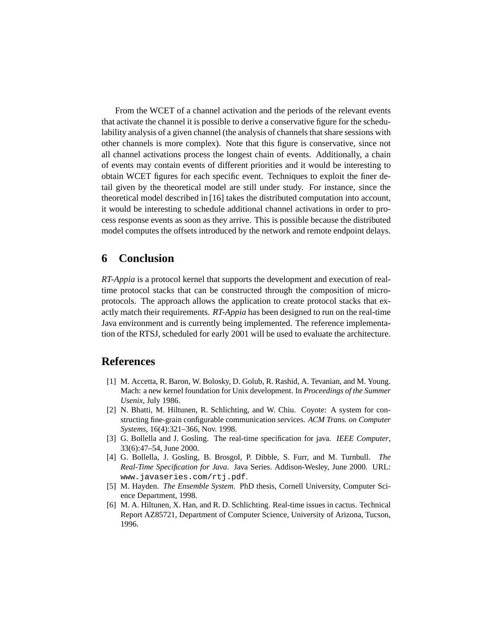From the WCET of a channel activation and the periods of the relevant events that activate the channel it is possible to derive a conservative figure for the schedulability analysis of a given channel (the analysis of channels that share sessions with other channels is more complex). Note that this figure is conservative, since not all channel activations process the longest chain of events. Additionally, a chain of events may contain events of different priorities and it would be interesting to obtain WCET figures for each specific event. Techniques to exploit the finer detail given by the theoretical model are still under study. For instance, since the theoretical model described in [16] takes the distributed computation into account, it would be interesting to schedule additional channel activations in order to process response events as soon as they arrive. This is possible because the distributed model computes the offsets introduced by the network and remote endpoint delays.

### **6 Conclusion**

*RT-Appia* is a protocol kernel that supports the development and execution of realtime protocol stacks that can be constructed through the composition of microprotocols. The approach allows the application to create protocol stacks that exactly match their requirements. *RT-Appia* has been designed to run on the real-time Java environment and is currently being implemented. The reference implementation of the RTSJ, scheduled for early 2001 will be used to evaluate the architecture.

## **References**

- [1] M. Accetta, R. Baron, W. Bolosky, D. Golub, R. Rashid, A. Tevanian, and M. Young. Mach: a new kernel foundation for Unix development. In *Proceedings of the Summer Usenix*, July 1986.
- [2] N. Bhatti, M. Hiltunen, R. Schlichting, and W. Chiu. Coyote: A system for constructing fine-grain configurable communication services. *ACM Trans. on Computer Systems*, 16(4):321–366, Nov. 1998.
- [3] G. Bollella and J. Gosling. The real-time specification for java. *IEEE Computer*, 33(6):47–54, June 2000.
- [4] G. Bollella, J. Gosling, B. Brosgol, P. Dibble, S. Furr, and M. Turnbull. *The Real-Time Specification for Java*. Java Series. Addison-Wesley, June 2000. URL: www.javaseries.com/rtj.pdf.
- [5] M. Hayden. *The Ensemble System*. PhD thesis, Cornell University, Computer Science Department, 1998.
- [6] M. A. Hiltunen, X. Han, and R. D. Schlichting. Real-time issues in cactus. Technical Report AZ85721, Department of Computer Science, University of Arizona, Tucson, 1996.